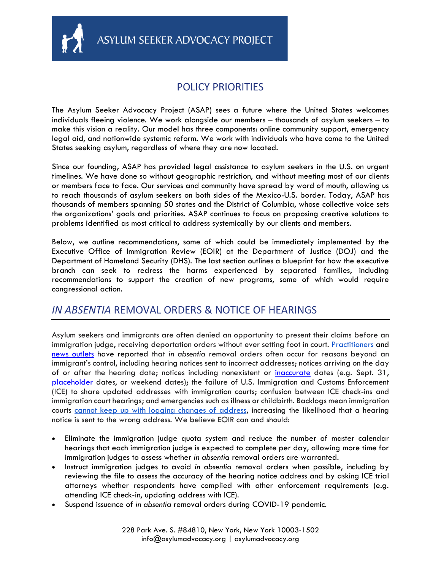

ASYLUM SEEKER ADVOCACY PROJECT

#### POLICY PRIORITIES

The Asylum Seeker Advocacy Project (ASAP) sees a future where the United States welcomes individuals fleeing violence. We work alongside our members – thousands of asylum seekers – to make this vision a reality. Our model has three components: online community support, emergency legal aid, and nationwide systemic reform. We work with individuals who have come to the United States seeking asylum, regardless of where they are now located.

Since our founding, ASAP has provided legal assistance to asylum seekers in the U.S. on urgent timelines. We have done so without geographic restriction, and without meeting most of our clients or members face to face. Our services and community have spread by word of mouth, allowing us to reach thousands of asylum seekers on both sides of the Mexico-U.S. border. Today, ASAP has thousands of members spanning 50 states and the District of Columbia, whose collective voice sets the organizations' goals and priorities. ASAP continues to focus on proposing creative solutions to problems identified as most critical to address systemically by our clients and members.

Below, we outline recommendations, some of which could be immediately implemented by the Executive Office of Immigration Review (EOIR) at the Department of Justice (DOJ) and the Department of Homeland Security (DHS). The last section outlines a blueprint for how the executive branch can seek to redress the harms experienced by separated families, including recommendations to support the creation of new programs, some of which would require congressional action.

#### *IN ABSENTIA* REMOVAL ORDERS & NOTICE OF HEARINGS

Asylum seekers and immigrants are often denied an opportunity to present their claims before an immigration judge, receiving deportation orders without ever setting foot in court. [Practitioners a](https://asylumadvocacy.org/wp-content/uploads/2018/04/Denied-a-Day-in-Court-2019-Update.pdf)nd [news outlets](https://www.latimes.com/local/california/la-me-children-deported-20150306-story.html) have reported that *in absentia* removal orders often occur for reasons beyond an immigrant's control, including hearing notices sent to incorrect addresses; notices arriving on the day of or after the hearing date; notices including nonexistent or [inaccurate](https://www.cnn.com/2018/10/31/us/immigration-court-fake-dates/index.html) dates (e.g. Sept. 31, [placeholder](https://www.aila.org/advo-media/issues/all/the-pereira-ruling) dates, or weekend dates); the failure of U.S. Immigration and Customs Enforcement (ICE) to share updated addresses with immigration courts; confusion between ICE check-ins and immigration court hearings; and emergencies such as illness or childbirth. Backlogs mean immigration courts cannot [keep up with logging changes of address,](https://www.vice.com/en_us/article/xw94ea/leaked-report-shows-the-utter-dysfunction-of-baltimores-immigration-court) increasing the likelihood that a hearing notice is sent to the wrong address. We believe EOIR can and should:

- Eliminate the immigration judge quota system and reduce the number of master calendar hearings that each immigration judge is expected to complete per day, allowing more time for immigration judges to assess whether *in absentia* removal orders are warranted.
- Instruct immigration judges to avoid *in absentia* removal orders when possible, including by reviewing the file to assess the accuracy of the hearing notice address and by asking ICE trial attorneys whether respondents have complied with other enforcement requirements (e.g. attending ICE check-in, updating address with ICE).
- Suspend issuance of *in absentia* removal orders during COVID-19 pandemic.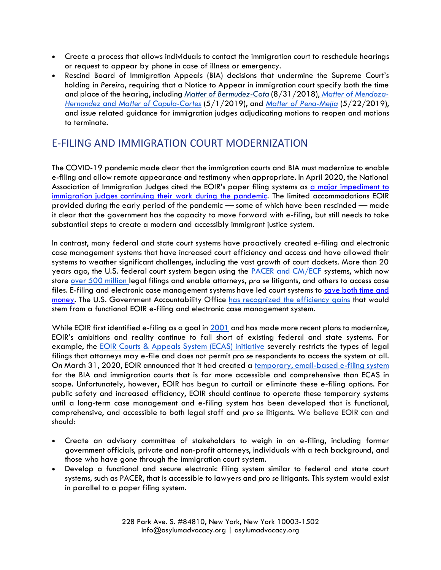- Create a process that allows individuals to contact the immigration court to reschedule hearings or request to appear by phone in case of illness or emergency.
- Rescind Board of Immigration Appeals (BIA) decisions that undermine the Supreme Court's holding in *Pereira*, requiring that a Notice to Appear in immigration court specify both the time and place of the hearing, including *[Matter of Bermudez-Cota](https://www.aila.org/infonet/bia-matter-of-bermudez-cota-2018)* (8/31/2018), *[Matter of Mendoza-](https://www.aila.org/infonet/bia-matter-of-capula-cortes-2019)Hernandez* and *[Matter of Capula-Cortes](https://www.aila.org/infonet/bia-matter-of-capula-cortes-2019)* (5/1/2019), and *[Matter of Pena-Mejia](https://www.justice.gov/eoir/page/file/1164976/download)* (5/22/2019), and issue related guidance for immigration judges adjudicating motions to reopen and motions to terminate.

# E-FILING AND IMMIGRATION COURT MODERNIZATION

The COVID-19 pandemic made clear that the immigration courts and BIA must modernize to enable e-filing and allow remote appearance and testimony when appropriate. In April 2020, the National Association of Immigration Judges cited the EOIR's paper filing systems as [a major impediment to](https://www.law360.com/articles/1265722/immigration-judges-union-says-courts-not-safe-from-virus)  [immigration judges continuing their](https://www.law360.com/articles/1265722/immigration-judges-union-says-courts-not-safe-from-virus) work during the pandemic. The limited accommodations EOIR provided during the early period of the pandemic — some of which have been rescinded — made it clear that the government has the capacity to move forward with e-filing, but still needs to take substantial steps to create a modern and accessibly immigrant justice system.

In contrast, many federal and state court systems have proactively created e-filing and electronic case management systems that have increased court efficiency and access and have allowed their systems to weather significant challenges, including the vast growth of court dockets. More than 20 years ago, the U.S. federal court system began using the [PACER and CM/ECF](https://www.pacer.gov/) systems, which now store [over 500 million l](https://www.pacer.gov/documents/epasum2012.pdf)egal filings and enable attorneys, *pro se* litigants, and others to access case files. E-filing and electronic case management systems have led court systems to [save both time and](https://cdm16501.contentdm.oclc.org/digital/collection/tech/id/715)  [money.](https://cdm16501.contentdm.oclc.org/digital/collection/tech/id/715) The U.S. Government Accountability Office [has recognized the efficiency gains](https://www.gao.gov/assets/700/691343.pdf) that would stem from a functional EOIR e-filing and electronic case management system.

While EOIR first identified e-filing as a goal in [2001](https://www.gao.gov/assets/700/691343.pdf) and has made more recent plans to modernize, EOIR's ambitions and reality continue to fall short of existing federal and state systems. For example, the [EOIR Courts & Appeals System \(ECAS\) initiative](https://www.justice.gov/eoir/file/1076641/download) severely restricts the types of legal filings that attorneys may e-file and does not permit *pro se* respondents to access the system at all. On March 31, 2020, EOIR announced that it had created a [temporary, email-based e-filing system](https://www.justice.gov/eoir/eoir-operational-status-during-coronavirus-pandemic) for the BIA and immigration courts that is far more accessible and comprehensive than ECAS in scope. Unfortunately, however, EOIR has begun to curtail or eliminate these e-filing options. For public safety and increased efficiency, EOIR should continue to operate these temporary systems until a long-term case management and e-filing system has been developed that is functional, comprehensive, and accessible to both legal staff and *pro se* litigants. We believe EOIR can and should:

- Create an advisory committee of stakeholders to weigh in on e-filing, including former government officials, private and non-profit attorneys, individuals with a tech background, and those who have gone through the immigration court system.
- Develop a functional and secure electronic filing system similar to federal and state court systems, such as PACER, that is accessible to lawyers and *pro se* litigants. This system would exist in parallel to a paper filing system.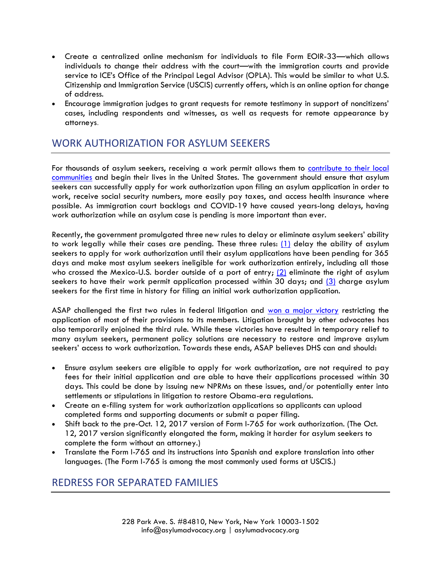- Create a centralized online mechanism for individuals to file Form EOIR-33—which allows individuals to change their address with the court—with the immigration courts and provide service to ICE's Office of the Principal Legal Advisor (OPLA). This would be similar to what U.S. Citizenship and Immigration Service (USCIS) currently offers, which is an online option for change of address.
- Encourage immigration judges to grant requests for remote testimony in support of noncitizens' cases, including respondents and witnesses, as well as requests for remote appearance by attorneys.

## WORK AUTHORIZATION FOR ASYLUM SEEKERS

For thousands of asylum seekers, receiving a work permit allows them to contribute to their local [communities](https://www.hrw.org/report/2013/11/12/least-let-them-work/denial-work-authorization-and-assistance-asylum-seekers-united) and begin their lives in the United States. The government should ensure that asylum seekers can successfully apply for work authorization upon filing an asylum application in order to work, receive social security numbers, more easily pay taxes, and access health insurance where possible. As immigration court backlogs and COVID-19 have caused years-long delays, having work authorization while an asylum case is pending is more important than ever.

Recently, the government promulgated three new rules to delay or eliminate asylum seekers' ability to work legally while their cases are pending. These three rules: [\(1\)](https://www.federalregister.gov/documents/2020/06/26/2020-13544/asylum-application-interview-and-employment-authorization-for-applicants) delay the ability of asylum seekers to apply for work authorization until their asylum applications have been pending for 365 days and make most asylum seekers ineligible for work authorization entirely, including all those who crossed the Mexico-U.S. border outside of a port of entry;  $(2)$  eliminate the right of asylum seekers to have their work permit application processed within 30 days; and [\(3\)](https://www.federalregister.gov/documents/2020/08/03/2020-16389/us-citizenship-and-immigration-services-fee-schedule-and-changes-to-certain-other-immigration) charge asylum seekers for the first time in history for filing an initial work authorization application.

ASAP challenged the first two rules in federal litigation and [won a major victory](https://www.cnn.com/2020/09/14/politics/judge-chad-wolf/index.html?ct=t(EMAIL_CAMPAIGN_6_30_2017_COPY_01)&mc_cid=dca00e582c&mc_eid=96215fde31) restricting the application of most of their provisions to its members. Litigation brought by other advocates has also temporarily enjoined the third rule. While these victories have resulted in temporary relief to many asylum seekers, permanent policy solutions are necessary to restore and improve asylum seekers' access to work authorization. Towards these ends, ASAP believes DHS can and should:

- Ensure asylum seekers are eligible to apply for work authorization, are not required to pay fees for their initial application and are able to have their applications processed within 30 days. This could be done by issuing new NPRMs on these issues, and/or potentially enter into settlements or stipulations in litigation to restore Obama-era regulations.
- Create an e-filing system for work authorization applications so applicants can upload completed forms and supporting documents or submit a paper filing.
- Shift back to the pre-Oct. 12, 2017 version of Form I-765 for work authorization. (The Oct. 12, 2017 version significantly elongated the form, making it harder for asylum seekers to complete the form without an attorney.)
- Translate the Form I-765 and its instructions into Spanish and explore translation into other languages. (The Form I-765 is among the most commonly used forms at USCIS.)

### REDRESS FOR SEPARATED FAMILIES